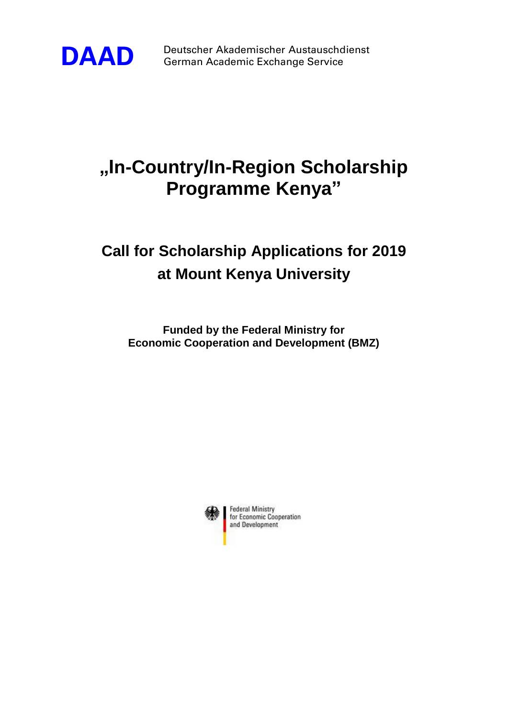

**DAAD** Deutscher Akademischer Austauschdienst<br>German Academic Exchange Service German Academic Exchange Service

## **"In-Country/In-Region Scholarship Programme Kenya"**

## **Call for Scholarship Applications for 2019 at Mount Kenya University**

**Funded by the Federal Ministry for Economic Cooperation and Development (BMZ)**

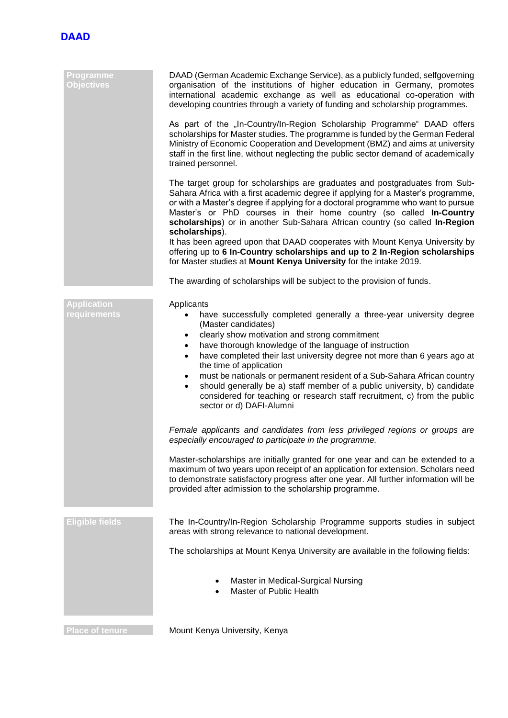

| DAAD (German Academic Exchange Service), as a publicly funded, selfgoverning<br>organisation of the institutions of higher education in Germany, promotes<br>international academic exchange as well as educational co-operation with<br>developing countries through a variety of funding and scholarship programmes.                                                                                                                                                                                                                                                                                                                               |
|------------------------------------------------------------------------------------------------------------------------------------------------------------------------------------------------------------------------------------------------------------------------------------------------------------------------------------------------------------------------------------------------------------------------------------------------------------------------------------------------------------------------------------------------------------------------------------------------------------------------------------------------------|
| As part of the "In-Country/In-Region Scholarship Programme" DAAD offers<br>scholarships for Master studies. The programme is funded by the German Federal<br>Ministry of Economic Cooperation and Development (BMZ) and aims at university<br>staff in the first line, without neglecting the public sector demand of academically<br>trained personnel.                                                                                                                                                                                                                                                                                             |
| The target group for scholarships are graduates and postgraduates from Sub-<br>Sahara Africa with a first academic degree if applying for a Master's programme,<br>or with a Master's degree if applying for a doctoral programme who want to pursue<br>Master's or PhD courses in their home country (so called In-Country<br>scholarships) or in another Sub-Sahara African country (so called In-Region<br>scholarships).                                                                                                                                                                                                                         |
| It has been agreed upon that DAAD cooperates with Mount Kenya University by<br>offering up to 6 In-Country scholarships and up to 2 In-Region scholarships<br>for Master studies at Mount Kenya University for the intake 2019.                                                                                                                                                                                                                                                                                                                                                                                                                      |
| The awarding of scholarships will be subject to the provision of funds.                                                                                                                                                                                                                                                                                                                                                                                                                                                                                                                                                                              |
| Applicants<br>have successfully completed generally a three-year university degree<br>(Master candidates)<br>clearly show motivation and strong commitment<br>$\bullet$<br>have thorough knowledge of the language of instruction<br>$\bullet$<br>have completed their last university degree not more than 6 years ago at<br>$\bullet$<br>the time of application<br>must be nationals or permanent resident of a Sub-Sahara African country<br>$\bullet$<br>should generally be a) staff member of a public university, b) candidate<br>٠<br>considered for teaching or research staff recruitment, c) from the public<br>sector or d) DAFI-Alumni |
| Female applicants and candidates from less privileged regions or groups are<br>especially encouraged to participate in the programme.                                                                                                                                                                                                                                                                                                                                                                                                                                                                                                                |
| Master-scholarships are initially granted for one year and can be extended to a<br>maximum of two years upon receipt of an application for extension. Scholars need<br>to demonstrate satisfactory progress after one year. All further information will be<br>provided after admission to the scholarship programme.                                                                                                                                                                                                                                                                                                                                |
| The In-Country/In-Region Scholarship Programme supports studies in subject<br>areas with strong relevance to national development.                                                                                                                                                                                                                                                                                                                                                                                                                                                                                                                   |
| The scholarships at Mount Kenya University are available in the following fields:                                                                                                                                                                                                                                                                                                                                                                                                                                                                                                                                                                    |
| Master in Medical-Surgical Nursing<br>Master of Public Health                                                                                                                                                                                                                                                                                                                                                                                                                                                                                                                                                                                        |
|                                                                                                                                                                                                                                                                                                                                                                                                                                                                                                                                                                                                                                                      |

**Place of tenure Mount Kenya University, Kenya**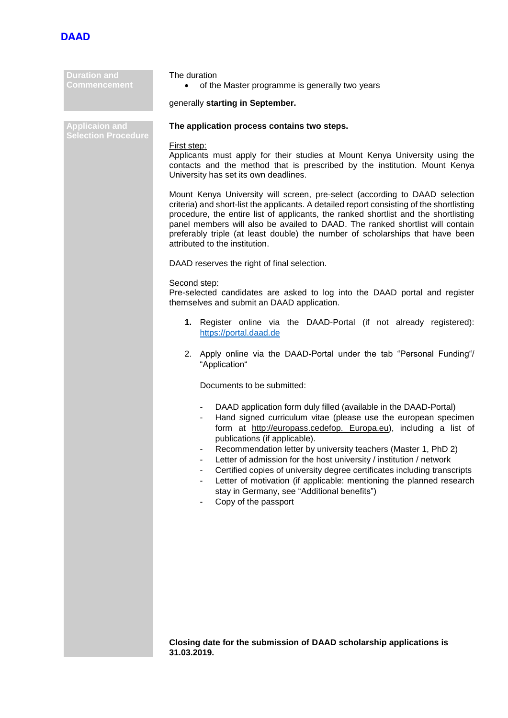

| <b>Duration and</b><br>Commencement                 | The duration<br>of the Master programme is generally two years<br>$\bullet$                                                                                                                                                                                                                                                                                                                                                                                                                                                                                                                                      |  |
|-----------------------------------------------------|------------------------------------------------------------------------------------------------------------------------------------------------------------------------------------------------------------------------------------------------------------------------------------------------------------------------------------------------------------------------------------------------------------------------------------------------------------------------------------------------------------------------------------------------------------------------------------------------------------------|--|
|                                                     | generally starting in September.                                                                                                                                                                                                                                                                                                                                                                                                                                                                                                                                                                                 |  |
| <b>Applicaion and</b><br><b>Selection Procedure</b> | The application process contains two steps.                                                                                                                                                                                                                                                                                                                                                                                                                                                                                                                                                                      |  |
|                                                     | First step:<br>Applicants must apply for their studies at Mount Kenya University using the<br>contacts and the method that is prescribed by the institution. Mount Kenya<br>University has set its own deadlines.                                                                                                                                                                                                                                                                                                                                                                                                |  |
|                                                     | Mount Kenya University will screen, pre-select (according to DAAD selection<br>criteria) and short-list the applicants. A detailed report consisting of the shortlisting<br>procedure, the entire list of applicants, the ranked shortlist and the shortlisting<br>panel members will also be availed to DAAD. The ranked shortlist will contain<br>preferably triple (at least double) the number of scholarships that have been<br>attributed to the institution.                                                                                                                                              |  |
|                                                     | DAAD reserves the right of final selection.                                                                                                                                                                                                                                                                                                                                                                                                                                                                                                                                                                      |  |
|                                                     | Second step:<br>Pre-selected candidates are asked to log into the DAAD portal and register<br>themselves and submit an DAAD application.                                                                                                                                                                                                                                                                                                                                                                                                                                                                         |  |
|                                                     | 1. Register online via the DAAD-Portal (if not already registered):<br>https://portal.daad.de                                                                                                                                                                                                                                                                                                                                                                                                                                                                                                                    |  |
|                                                     | 2. Apply online via the DAAD-Portal under the tab "Personal Funding"/<br>"Application"                                                                                                                                                                                                                                                                                                                                                                                                                                                                                                                           |  |
|                                                     | Documents to be submitted:                                                                                                                                                                                                                                                                                                                                                                                                                                                                                                                                                                                       |  |
|                                                     | DAAD application form duly filled (available in the DAAD-Portal)<br>٠<br>Hand signed curriculum vitae (please use the european specimen<br>form at http://europass.cedefop. Europa.eu), including a list of<br>publications (if applicable).<br>Recommendation letter by university teachers (Master 1, PhD 2)<br>Letter of admission for the host university / institution / network<br>Certified copies of university degree certificates including transcripts<br>Letter of motivation (if applicable: mentioning the planned research<br>stay in Germany, see "Additional benefits")<br>Copy of the passport |  |
|                                                     |                                                                                                                                                                                                                                                                                                                                                                                                                                                                                                                                                                                                                  |  |

**Closing date for the submission of DAAD scholarship applications is 31.03.2019.**